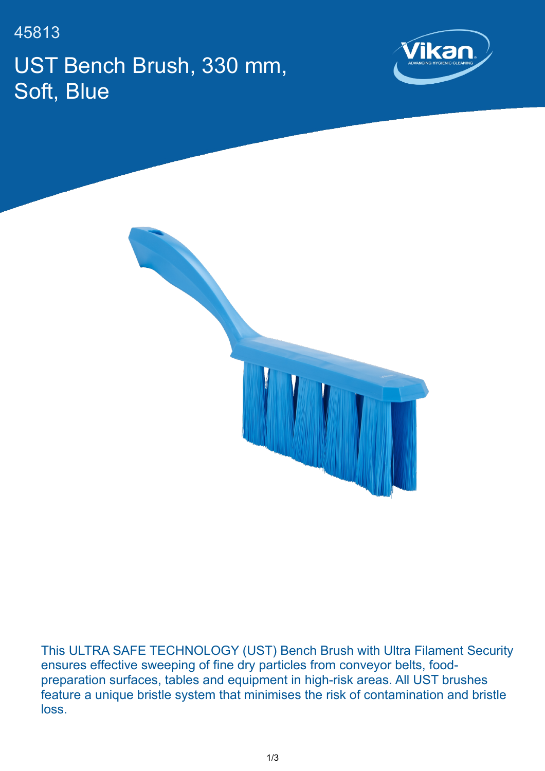45813 UST Bench Brush, 330 mm, Soft, Blue





This ULTRA SAFE TECHNOLOGY (UST) Bench Brush with Ultra Filament Security ensures effective sweeping of fine dry particles from conveyor belts, foodpreparation surfaces, tables and equipment in high-risk areas. All UST brushes feature a unique bristle system that minimises the risk of contamination and bristle loss.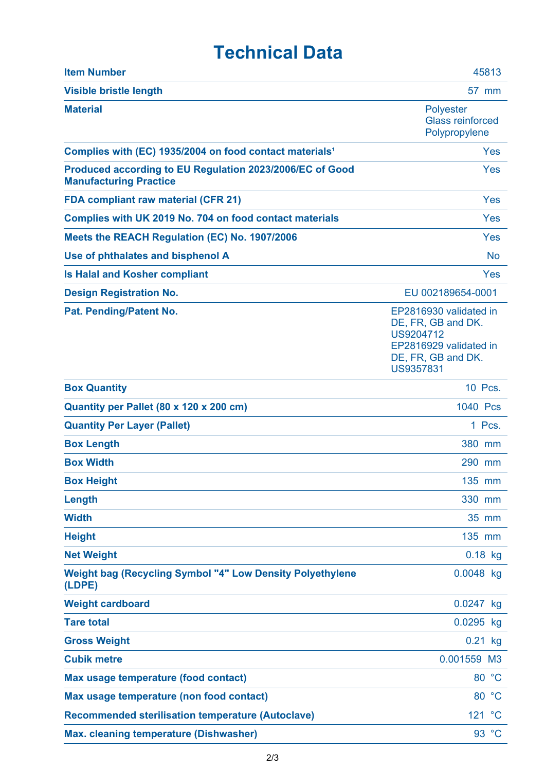## **Technical Data**

| <b>Item Number</b>                                                                        | 45813                                                                                                                  |
|-------------------------------------------------------------------------------------------|------------------------------------------------------------------------------------------------------------------------|
| <b>Visible bristle length</b>                                                             | 57 mm                                                                                                                  |
| <b>Material</b>                                                                           | <b>Polyester</b><br><b>Glass reinforced</b><br>Polypropylene                                                           |
| Complies with (EC) 1935/2004 on food contact materials <sup>1</sup>                       | Yes                                                                                                                    |
| Produced according to EU Regulation 2023/2006/EC of Good<br><b>Manufacturing Practice</b> | Yes                                                                                                                    |
| <b>FDA compliant raw material (CFR 21)</b>                                                | Yes                                                                                                                    |
| Complies with UK 2019 No. 704 on food contact materials                                   | Yes                                                                                                                    |
| Meets the REACH Regulation (EC) No. 1907/2006                                             | Yes                                                                                                                    |
| Use of phthalates and bisphenol A                                                         | <b>No</b>                                                                                                              |
| <b>Is Halal and Kosher compliant</b>                                                      | Yes                                                                                                                    |
| <b>Design Registration No.</b>                                                            | EU 002189654-0001                                                                                                      |
| Pat. Pending/Patent No.                                                                   | EP2816930 validated in<br>DE, FR, GB and DK.<br>US9204712<br>EP2816929 validated in<br>DE, FR, GB and DK.<br>US9357831 |
| <b>Box Quantity</b>                                                                       | 10 Pcs.                                                                                                                |
| Quantity per Pallet (80 x 120 x 200 cm)                                                   | 1040 Pcs                                                                                                               |
| <b>Quantity Per Layer (Pallet)</b>                                                        | 1 Pcs.                                                                                                                 |
| <b>Box Length</b>                                                                         | 380 mm                                                                                                                 |
| <b>Box Width</b>                                                                          | 290 mm                                                                                                                 |
| <b>Box Height</b>                                                                         | 135 mm                                                                                                                 |
| Length                                                                                    | 330 mm                                                                                                                 |
| <b>Width</b>                                                                              | 35 mm                                                                                                                  |
| <b>Height</b>                                                                             | 135 mm                                                                                                                 |
| <b>Net Weight</b>                                                                         | $0.18$ kg                                                                                                              |
| <b>Weight bag (Recycling Symbol "4" Low Density Polyethylene</b><br>(LDPE)                | 0.0048 kg                                                                                                              |
| <b>Weight cardboard</b>                                                                   | 0.0247 kg                                                                                                              |
| <b>Tare total</b>                                                                         | 0.0295 kg                                                                                                              |
| <b>Gross Weight</b>                                                                       | $0.21$ kg                                                                                                              |
| <b>Cubik metre</b>                                                                        | 0.001559 M3                                                                                                            |
| Max usage temperature (food contact)                                                      | 80 °C                                                                                                                  |
| Max usage temperature (non food contact)                                                  | 80 °C                                                                                                                  |
| <b>Recommended sterilisation temperature (Autoclave)</b>                                  | $\rm ^{\circ}C$<br>121                                                                                                 |
| <b>Max. cleaning temperature (Dishwasher)</b>                                             | 93 °C                                                                                                                  |